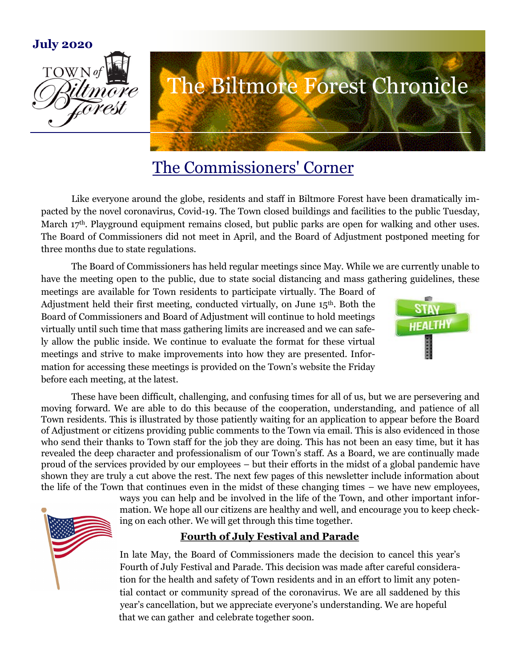

# The Commissioners' Corner

Like everyone around the globe, residents and staff in Biltmore Forest have been dramatically impacted by the novel coronavirus, Covid-19. The Town closed buildings and facilities to the public Tuesday, March 17<sup>th</sup>. Playground equipment remains closed, but public parks are open for walking and other uses. The Board of Commissioners did not meet in April, and the Board of Adjustment postponed meeting for three months due to state regulations.

The Board of Commissioners has held regular meetings since May. While we are currently unable to have the meeting open to the public, due to state social distancing and mass gathering guidelines, these

meetings are available for Town residents to participate virtually. The Board of Adjustment held their first meeting, conducted virtually, on June  $15<sup>th</sup>$ . Both the Board of Commissioners and Board of Adjustment will continue to hold meetings virtually until such time that mass gathering limits are increased and we can safely allow the public inside. We continue to evaluate the format for these virtual meetings and strive to make improvements into how they are presented. Information for accessing these meetings is provided on the Town's website the Friday before each meeting, at the latest.



These have been difficult, challenging, and confusing times for all of us, but we are persevering and moving forward. We are able to do this because of the cooperation, understanding, and patience of all Town residents. This is illustrated by those patiently waiting for an application to appear before the Board of Adjustment or citizens providing public comments to the Town via email. This is also evidenced in those who send their thanks to Town staff for the job they are doing. This has not been an easy time, but it has revealed the deep character and professionalism of our Town's staff. As a Board, we are continually made proud of the services provided by our employees – but their efforts in the midst of a global pandemic have shown they are truly a cut above the rest. The next few pages of this newsletter include information about the life of the Town that continues even in the midst of these changing times – we have new employees,

ways you can help and be involved in the life of the Town, and other important information. We hope all our citizens are healthy and well, and encourage you to keep checking on each other. We will get through this time together.

# **Fourth of July Festival and Parade**

In late May, the Board of Commissioners made the decision to cancel this year's Fourth of July Festival and Parade. This decision was made after careful consideration for the health and safety of Town residents and in an effort to limit any potential contact or community spread of the coronavirus. We are all saddened by this year's cancellation, but we appreciate everyone's understanding. We are hopeful that we can gather and celebrate together soon.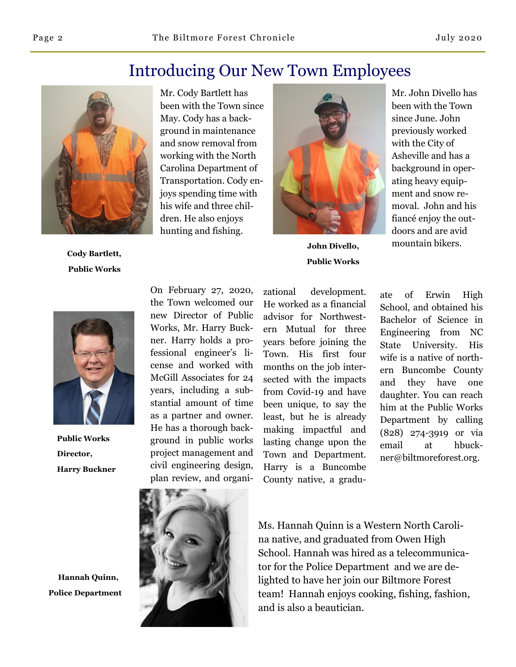# Introducing Our New Town Employees



**Cody Bartlett, Public Works**

Mr. Cody Bartlett has been with the Town since May. Cody has a background in maintenance and snow removal from working with the North Carolina Department of Transportation. Cody enjoys spending time with his wife and three children. He also enjoys hunting and fishing.



**Public Works**

Mr. John Divello has been with the Town since June. John previously worked with the City of Asheville and has a background in operating heavy equipment and snow removal. John and his fiancé enjoy the outdoors and are avid **John Divello,** mountain bikers.



**Public Works Director, Harry Buckner**

 **Hannah Quinn, Police Department** On February 27, 2020, the Town welcomed our new Director of Public Works, Mr. Harry Buckner. Harry holds a professional engineer's license and worked with McGill Associates for 24 years, including a substantial amount of time as a partner and owner. He has a thorough background in public works project management and civil engineering design, plan review, and organi-

zational development. He worked as a financial advisor for Northwestern Mutual for three years before joining the Town. His first four months on the job intersected with the impacts from Covid-19 and have been unique, to say the least, but he is already making impactful and lasting change upon the Town and Department. Harry is a Buncombe County native, a gradu-

ate of Erwin High School, and obtained his Bachelor of Science in Engineering from NC State University. His wife is a native of northern Buncombe County and they have one daughter. You can reach him at the Public Works Department by calling (828) 274-3919 or via email at hbuckner@biltmoreforest.org.



Ms. Hannah Quinn is a Western North Carolina native, and graduated from Owen High School. Hannah was hired as a telecommunicator for the Police Department and we are delighted to have her join our Biltmore Forest team! Hannah enjoys cooking, fishing, fashion, and is also a beautician.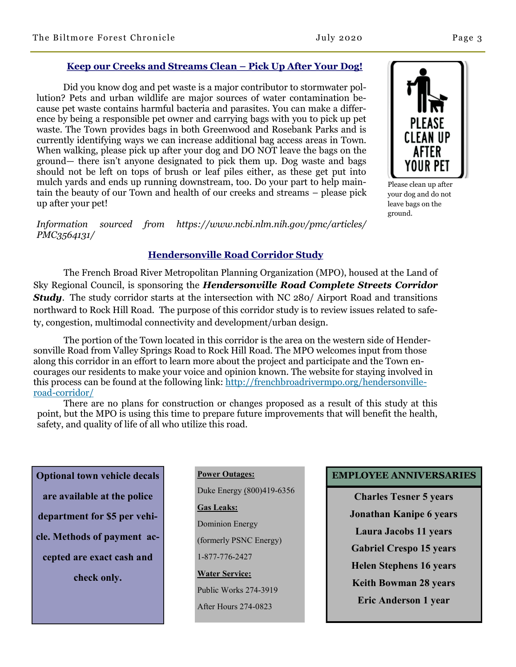### **Keep our Creeks and Streams Clean – Pick Up After Your Dog!**

Did you know dog and pet waste is a major contributor to stormwater pollution? Pets and urban wildlife are major sources of water contamination because pet waste contains harmful bacteria and parasites. You can make a difference by being a responsible pet owner and carrying bags with you to pick up pet waste. The Town provides bags in both Greenwood and Rosebank Parks and is currently identifying ways we can increase additional bag access areas in Town. When walking, please pick up after your dog and DO NOT leave the bags on the ground— there isn't anyone designated to pick them up. Dog waste and bags should not be left on tops of brush or leaf piles either, as these get put into mulch yards and ends up running downstream, too. Do your part to help maintain the beauty of our Town and health of our creeks and streams – please pick up after your pet!

*Information sourced from https://www.ncbi.nlm.nih.gov/pmc/articles/ PMC3564131/*

### **Hendersonville Road Corridor Study**

The French Broad River Metropolitan Planning Organization (MPO), housed at the Land of Sky Regional Council, is sponsoring the *Hendersonville Road Complete Streets Corridor Study*. The study corridor starts at the intersection with NC 280/ Airport Road and transitions northward to Rock Hill Road. The purpose of this corridor study is to review issues related to safety, congestion, multimodal connectivity and development/urban design.

The portion of the Town located in this corridor is the area on the western side of Hendersonville Road from Valley Springs Road to Rock Hill Road. The MPO welcomes input from those along this corridor in an effort to learn more about the project and participate and the Town encourages our residents to make your voice and opinion known. The website for staying involved in this process can be found at the following link: [http://frenchbroadrivermpo.org/hendersonville](http://frenchbroadrivermpo.org/hendersonville-road-corridor/)[road-corridor/](http://frenchbroadrivermpo.org/hendersonville-road-corridor/)

There are no plans for construction or changes proposed as a result of this study at this point, but the MPO is using this time to prepare future improvements that will benefit the health, safety, and quality of life of all who utilize this road.

**Optional town vehicle decals are available at the police department for \$5 per vehicle. Methods of payment accepted are exact cash and check only.** 

### **Power Outages:**

Duke Energy (800)419-6356

**Gas Leaks:**

Dominion Energy

(formerly PSNC Energy)

1-877-776-2427

**Water Service:**  Public Works 274-3919

After Hours 274-0823

## **EMPLOYEE ANNIVERSARIES**

**Charles Tesner 5 years Jonathan Kanipe 6 years Laura Jacobs 11 years Gabriel Crespo 15 years Helen Stephens 16 years Keith Bowman 28 years Eric Anderson 1 year**

CI FAN IIP AFTER YOUR PEI Please clean up after your dog and do not leave bags on the

ground.

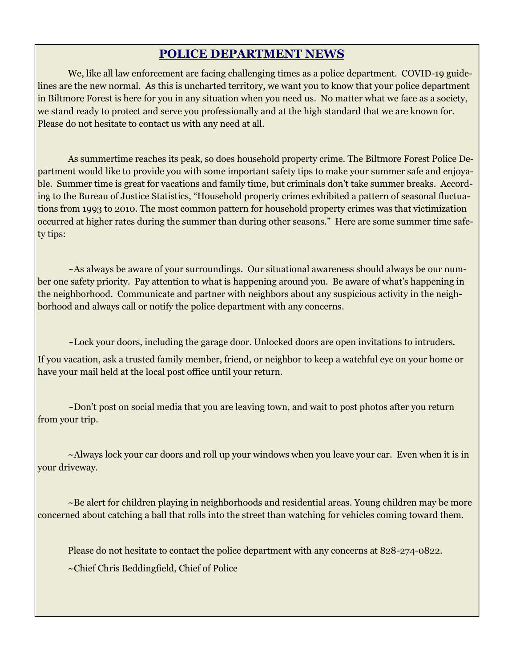# **POLICE DEPARTMENT NEWS**

We, like all law enforcement are facing challenging times as a police department. COVID-19 guidelines are the new normal. As this is uncharted territory, we want you to know that your police department in Biltmore Forest is here for you in any situation when you need us. No matter what we face as a society, we stand ready to protect and serve you professionally and at the high standard that we are known for. Please do not hesitate to contact us with any need at all.

As summertime reaches its peak, so does household property crime. The Biltmore Forest Police Department would like to provide you with some important safety tips to make your summer safe and enjoyable. Summer time is great for vacations and family time, but criminals don't take summer breaks. According to the Bureau of Justice Statistics, "Household property crimes exhibited a pattern of seasonal fluctuations from 1993 to 2010. The most common pattern for household property crimes was that victimization occurred at higher rates during the summer than during other seasons." Here are some summer time safety tips:

 $\sim$ As always be aware of your surroundings. Our situational awareness should always be our number one safety priority. Pay attention to what is happening around you. Be aware of what's happening in the neighborhood. Communicate and partner with neighbors about any suspicious activity in the neighborhood and always call or notify the police department with any concerns.

~Lock your doors, including the garage door. Unlocked doors are open invitations to intruders.

If you vacation, ask a trusted family member, friend, or neighbor to keep a watchful eye on your home or have your mail held at the local post office until your return.

~Don't post on social media that you are leaving town, and wait to post photos after you return from your trip.

 $\sim$ Always lock your car doors and roll up your windows when you leave your car. Even when it is in your driveway.

~Be alert for children playing in neighborhoods and residential areas. Young children may be more concerned about catching a ball that rolls into the street than watching for vehicles coming toward them.

Please do not hesitate to contact the police department with any concerns at 828-274-0822.

~Chief Chris Beddingfield, Chief of Police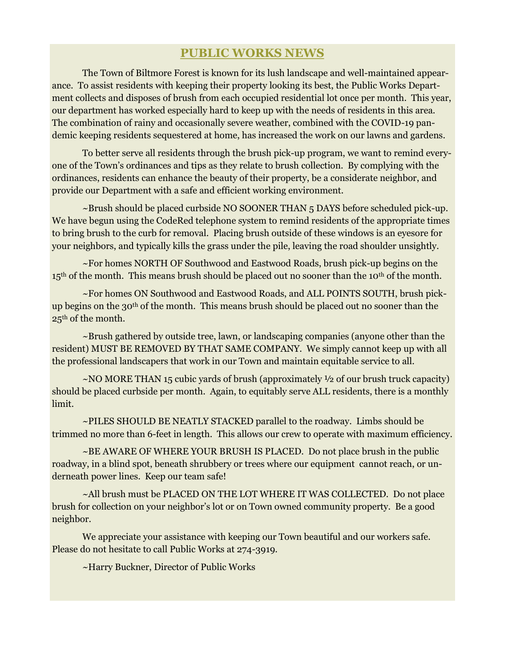## **PUBLIC WORKS NEWS**

The Town of Biltmore Forest is known for its lush landscape and well-maintained appearance. To assist residents with keeping their property looking its best, the Public Works Department collects and disposes of brush from each occupied residential lot once per month. This year, our department has worked especially hard to keep up with the needs of residents in this area. The combination of rainy and occasionally severe weather, combined with the COVID-19 pandemic keeping residents sequestered at home, has increased the work on our lawns and gardens.

To better serve all residents through the brush pick-up program, we want to remind everyone of the Town's ordinances and tips as they relate to brush collection. By complying with the ordinances, residents can enhance the beauty of their property, be a considerate neighbor, and provide our Department with a safe and efficient working environment.

~Brush should be placed curbside NO SOONER THAN 5 DAYS before scheduled pick-up. We have begun using the CodeRed telephone system to remind residents of the appropriate times to bring brush to the curb for removal. Placing brush outside of these windows is an eyesore for your neighbors, and typically kills the grass under the pile, leaving the road shoulder unsightly.

~For homes NORTH OF Southwood and Eastwood Roads, brush pick-up begins on the 15<sup>th</sup> of the month. This means brush should be placed out no sooner than the 10<sup>th</sup> of the month.

~For homes ON Southwood and Eastwood Roads, and ALL POINTS SOUTH, brush pickup begins on the 30th of the month. This means brush should be placed out no sooner than the 25th of the month.

~Brush gathered by outside tree, lawn, or landscaping companies (anyone other than the resident) MUST BE REMOVED BY THAT SAME COMPANY. We simply cannot keep up with all the professional landscapers that work in our Town and maintain equitable service to all.

~NO MORE THAN 15 cubic yards of brush (approximately ½ of our brush truck capacity) should be placed curbside per month. Again, to equitably serve ALL residents, there is a monthly limit.

~PILES SHOULD BE NEATLY STACKED parallel to the roadway. Limbs should be trimmed no more than 6-feet in length. This allows our crew to operate with maximum efficiency.

~BE AWARE OF WHERE YOUR BRUSH IS PLACED. Do not place brush in the public roadway, in a blind spot, beneath shrubbery or trees where our equipment cannot reach, or underneath power lines. Keep our team safe!

~All brush must be PLACED ON THE LOT WHERE IT WAS COLLECTED. Do not place brush for collection on your neighbor's lot or on Town owned community property. Be a good neighbor.

We appreciate your assistance with keeping our Town beautiful and our workers safe. Please do not hesitate to call Public Works at 274-3919.

~Harry Buckner, Director of Public Works